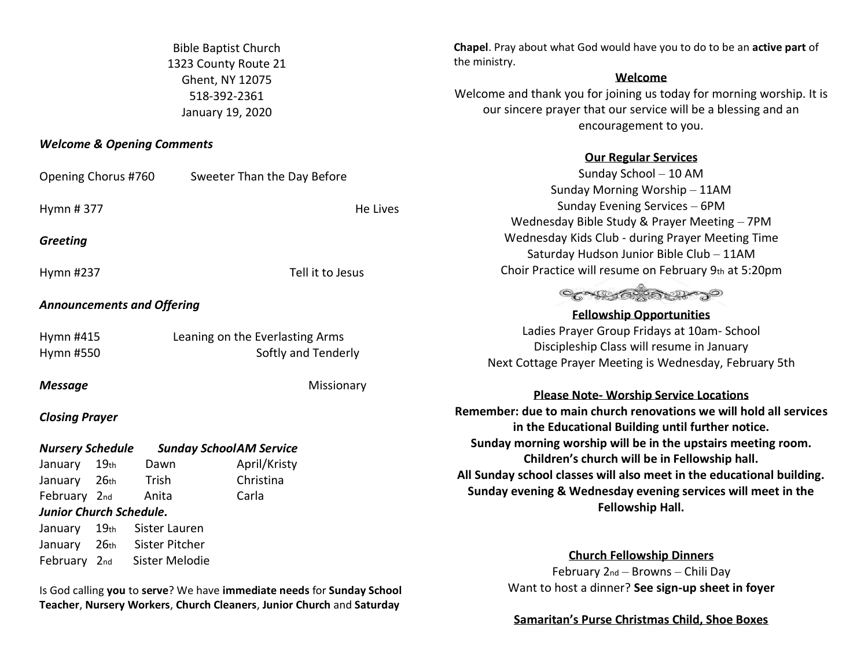Bible Baptist Church 1323 County Route 21 Ghent, NY 12075 518-392-2361 January 19, 2020

### *Welcome & Opening Comments*

| Opening Chorus #760                                       |                  |                                   | Sweeter Than the Day Before     |                       |                         |
|-----------------------------------------------------------|------------------|-----------------------------------|---------------------------------|-----------------------|-------------------------|
|                                                           |                  |                                   |                                 |                       | Sun                     |
| Hymn #377                                                 |                  |                                   | He Lives                        |                       | Su                      |
|                                                           |                  |                                   |                                 |                       | Wednesday               |
| Greeting                                                  |                  |                                   |                                 |                       | Wednesday               |
|                                                           |                  |                                   |                                 |                       | Saturday                |
| Hymn #237                                                 |                  |                                   | Tell it to Jesus                | <b>Choir Practice</b> |                         |
|                                                           |                  |                                   |                                 |                       | $\circ$                 |
|                                                           |                  | <b>Announcements and Offering</b> |                                 |                       |                         |
| Hymn #415                                                 |                  |                                   | Leaning on the Everlasting Arms |                       | Ladies Pra              |
| Hymn #550                                                 |                  |                                   | Softly and Tenderly             | Disciple              |                         |
|                                                           |                  |                                   |                                 |                       | Next Cottage Pr         |
| <b>Message</b>                                            |                  |                                   | Missionary                      |                       |                         |
|                                                           |                  |                                   |                                 |                       | Please                  |
| <b>Closing Prayer</b>                                     |                  |                                   |                                 |                       | Remember: due to m      |
|                                                           |                  |                                   |                                 |                       | in the Educ             |
| <b>Nursery Schedule</b><br><b>Sunday SchoolAM Service</b> |                  |                                   |                                 |                       | <b>Sunday morning w</b> |
| January                                                   | 19 <sub>th</sub> | Dawn                              | April/Kristy                    |                       | Children'               |
| January                                                   | 26 <sub>th</sub> | Trish                             | Christina                       |                       | All Sunday school cla   |
| February 2nd                                              |                  | Anita                             | Carla                           |                       | Sunday evening & \      |
| Junior Church Schedule.                                   |                  |                                   |                                 |                       |                         |
| January                                                   | 19 <sub>th</sub> | Sister Lauren                     |                                 |                       |                         |
| January                                                   | 26 <sub>th</sub> | Sister Pitcher                    |                                 |                       |                         |
| February 2nd                                              |                  | Sister Melodie                    |                                 |                       |                         |
|                                                           |                  |                                   |                                 |                       | こんに                     |

Is God calling **you** to **serve**? We have **immediate needs** for **Sunday School Teacher**, **Nursery Workers**, **Church Cleaners**, **Junior Church** and **Saturday** 

**Chapel**. Pray about what God would have you to do to be an **active part** of the ministry.

### **Welcome**

Welcome and thank you for joining us today for morning worship. It is our sincere prayer that our service will be a blessing and an encouragement to you.

# **Our Regular Services**

Sunday School – 10 AM day Morning Worship – 11AM nday Evening Services – 6PM Bible Study & Prayer Meeting – 7PM Kids Club - during Prayer Meeting Time  $\nu$  Hudson Junior Bible Club – 11AM e will resume on February 9th at 5:20pm

# CASSE COMPO

**Fellowship Opportunities** ayer Group Fridays at 10am- School eship Class will resume in January ayer Meeting is Wednesday, February 5th

## **Note- Worship Service Locations**

**Remember: due to main church renovations we will hold all services in the Educational Building until further notice. Support worth in the upstairs meeting room.** 's church will be in Fellowship hall. **All Sunday school classes will also meet in the educational building. Nednesday evening services will meet in the Fellowship Hall.** 

## **Church Fellowship Dinners**

February 2nd – Browns – Chili Day Want to host a dinner? **See sign-up sheet in foyer**

**Samaritan's Purse Christmas Child, Shoe Boxes**